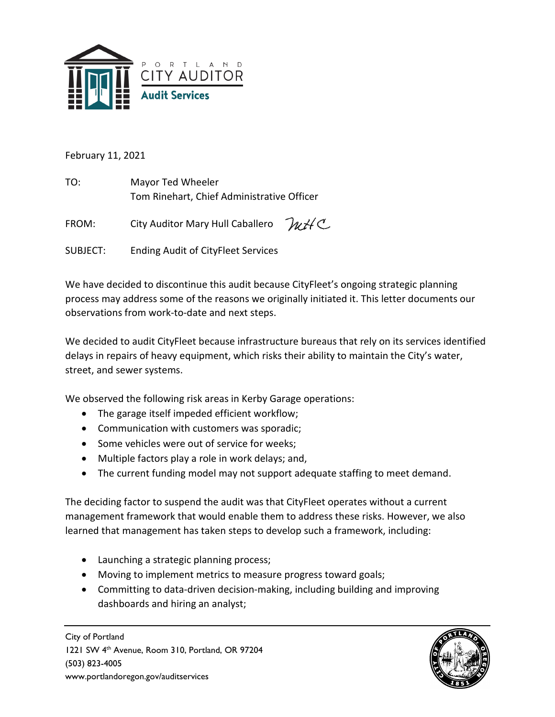

February 11, 2021

TO: Mayor Ted Wheeler Tom Rinehart, Chief Administrative Officer

WHC FROM: City Auditor Mary Hull Caballero

SUBJECT: Ending Audit of CityFleet Services

We have decided to discontinue this audit because CityFleet's ongoing strategic planning process may address some of the reasons we originally initiated it. This letter documents our observations from work-to-date and next steps.

We decided to audit CityFleet because infrastructure bureaus that rely on its services identified delays in repairs of heavy equipment, which risks their ability to maintain the City's water, street, and sewer systems.

We observed the following risk areas in Kerby Garage operations:

- The garage itself impeded efficient workflow;
- Communication with customers was sporadic;
- Some vehicles were out of service for weeks;
- Multiple factors play a role in work delays; and,
- The current funding model may not support adequate staffing to meet demand.

The deciding factor to suspend the audit was that CityFleet operates without a current management framework that would enable them to address these risks. However, we also learned that management has taken steps to develop such a framework, including:

- Launching a strategic planning process;
- Moving to implement metrics to measure progress toward goals;
- Committing to data-driven decision-making, including building and improving dashboards and hiring an analyst;